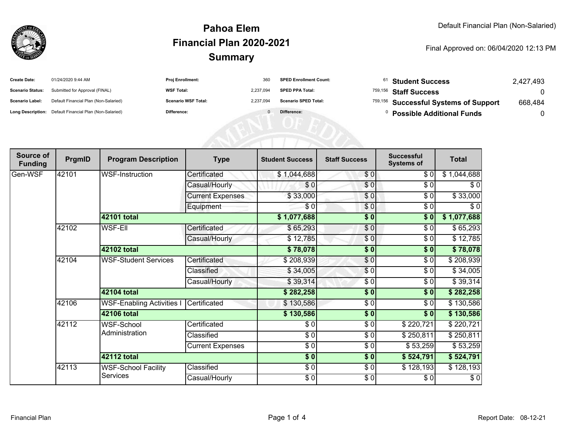

## **SummaryPahoa ElemFinancial Plan 2020-2021**

Final Approved on: 06/04/2020 12:13 PM

| <b>Create Date:</b>     | 01/24/2020 9:44 AM                                      | <b>Proj Enrollment:</b>    | 360       | <b>SPED Enrollment Count:</b> | $61$ Student Success                  | 2,427,493 |
|-------------------------|---------------------------------------------------------|----------------------------|-----------|-------------------------------|---------------------------------------|-----------|
| <b>Scenario Status:</b> | Submitted for Approval (FINAL)                          | <b>WSF Total:</b>          | 2.237.094 | <b>SPED PPA Total:</b>        | <sup>759,156</sup> Staff Success      |           |
| <b>Scenario Label:</b>  | Default Financial Plan (Non-Salaried)                   | <b>Scenario WSF Total:</b> | 2.237.094 | <b>Scenario SPED Total:</b>   | 759,156 Successful Systems of Support | 668,484   |
|                         | Long Description: Default Financial Plan (Non-Salaried) | Difference:                |           | Difference:                   | <b>Possible Additional Funds</b>      |           |

| Source of<br><b>Funding</b> | PrgmID | <b>Program Description</b>             | <b>Type</b>             | <b>Student Success</b>   | <b>Staff Success</b> | <b>Successful</b><br><b>Systems of</b> | <b>Total</b> |
|-----------------------------|--------|----------------------------------------|-------------------------|--------------------------|----------------------|----------------------------------------|--------------|
| Gen-WSF                     | 42101  | WSF-Instruction                        | Certificated            | \$1,044,688              | \$0                  | \$0                                    | \$1,044,688  |
|                             |        |                                        | Casual/Hourly           | \$0                      | \$0                  | $\frac{1}{\sqrt{2}}$                   | $\sqrt{6}$   |
|                             |        |                                        | <b>Current Expenses</b> | \$33,000                 | \$0                  | \$0                                    | \$33,000     |
|                             |        |                                        | Equipment               | \$0                      | \$0                  | \$0                                    | \$0          |
|                             |        | 42101 total                            |                         | \$1,077,688              | $\sqrt{6}$           | $\frac{1}{2}$                          | \$1,077,688  |
|                             | 42102  | <b>WSF-Ell</b>                         | Certificated            | \$65,293                 | $\sqrt{6}$           | \$0                                    | \$65,293     |
|                             |        |                                        | Casual/Hourly           | \$12,785                 | \$0                  | \$0                                    | \$12,785     |
|                             |        | 42102 total                            |                         | \$78,078                 | $\sqrt{6}$           | $\overline{\bullet}$                   | \$78,078     |
|                             | 42104  | <b>WSF-Student Services</b>            | Certificated            | \$208,939                | \$0                  | \$0                                    | \$208,939    |
|                             |        |                                        | Classified              | \$34,005                 | $\frac{6}{3}$        | $\frac{1}{\sqrt{2}}$                   | \$34,005     |
|                             |        |                                        | Casual/Hourly           | \$39,314                 | \$0                  | \$0                                    | \$39,314     |
|                             |        | 42104 total                            |                         | \$282,258                | \$0                  | \$0                                    | \$282,258    |
|                             | 42106  | <b>WSF-Enabling Activities I</b>       | Certificated            | \$130,586                | $\frac{1}{\epsilon}$ | \$0                                    | \$130,586    |
|                             |        | 42106 total                            |                         | \$130,586                | $\overline{\bullet}$ | \$0                                    | \$130,586    |
|                             | 42112  | WSF-School                             | Certificated            | \$0                      | \$0                  | \$220,721                              | \$220,721    |
|                             |        | Administration                         | Classified              | $\overline{\frac{3}{2}}$ | $\frac{1}{\epsilon}$ | \$250,811                              | \$250,811    |
|                             |        |                                        | <b>Current Expenses</b> | $\sqrt{6}$               | \$0                  | \$53,259                               | \$53,259     |
|                             |        | 42112 total                            |                         | $\sqrt{5}$               | $\sqrt{6}$           | \$524,791                              | \$524,791    |
|                             | 42113  | <b>WSF-School Facility</b><br>Services | Classified              | $\frac{6}{6}$            | $\frac{3}{6}$        | \$128,193                              | \$128,193    |
|                             |        |                                        | Casual/Hourly           | $\frac{6}{6}$            | $\frac{3}{6}$        | \$0                                    | \$0          |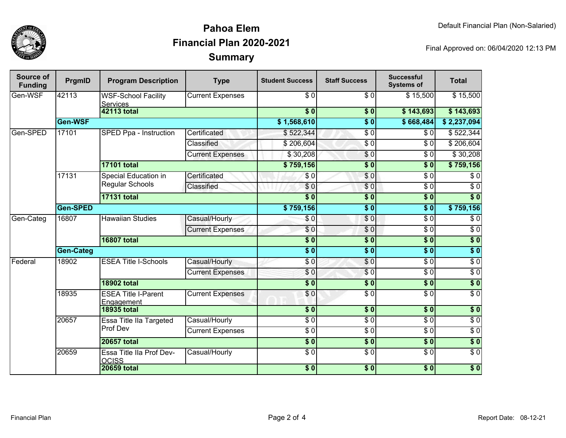

## **SummaryPahoa ElemFinancial Plan 2020-2021**

Final Approved on: 06/04/2020 12:13 PM

| Source of<br><b>Funding</b> | PrgmID           | <b>Program Description</b>                            | <b>Type</b>             | <b>Student Success</b>   | <b>Staff Success</b> | <b>Successful</b><br><b>Systems of</b> | <b>Total</b>     |
|-----------------------------|------------------|-------------------------------------------------------|-------------------------|--------------------------|----------------------|----------------------------------------|------------------|
| Gen-WSF                     | 42113            | <b>WSF-School Facility</b><br><b>Services</b>         | <b>Current Expenses</b> | \$0                      | \$0                  | \$15,500                               | \$15,500         |
|                             |                  | <b>42113 total</b>                                    |                         | $\overline{\$0}$         | $\overline{\$0}$     | \$143,693                              | \$143,693        |
|                             | Gen-WSF          |                                                       |                         | \$1,568,610              | $\overline{\$0}$     | \$668,484                              | \$2,237,094      |
| Gen-SPED                    | 17101            | SPED Ppa - Instruction                                | Certificated            | \$522,344                | $\overline{\$0}$     | \$0                                    | \$522,344        |
|                             |                  |                                                       | Classified              | \$206,604                | $\overline{\$0}$     | $\overline{\$0}$                       | \$206,604        |
|                             |                  |                                                       | <b>Current Expenses</b> | \$30,208                 | \$0                  | \$0                                    | \$30,208         |
|                             |                  | <b>17101 total</b>                                    |                         | \$759,156                | $\overline{\$0}$     | $\overline{\$}0$                       | \$759,156        |
|                             | 17131            | <b>Special Education in</b><br><b>Regular Schools</b> | Certificated            | \$0                      | $\overline{\$0}$     | $\overline{\$0}$                       | $\overline{\$0}$ |
|                             |                  |                                                       | Classified              | $\overline{\$0}$         | $\overline{\$0}$     | $\overline{\$0}$                       | $\overline{\$0}$ |
|                             |                  | <b>17131 total</b>                                    |                         | s <sub>0</sub>           | \$0                  | \$0                                    | $\overline{\$0}$ |
|                             | Gen-SPED         |                                                       |                         | \$759,156                | $\overline{\$0}$     | $\overline{\textbf{S}^0}$              | \$759,156        |
| Gen-Categ                   | 16807            | <b>Hawaiian Studies</b>                               | Casual/Hourly           | \$0                      | $\overline{\$0}$     | $\overline{\$0}$                       | $\overline{\$0}$ |
|                             |                  |                                                       | <b>Current Expenses</b> | \$0                      | $\overline{\$0}$     | $\overline{\$0}$                       | $\overline{\$0}$ |
|                             |                  | <b>16807 total</b>                                    |                         | $\overline{\$0}$         | $\overline{\$0}$     | $\overline{\$0}$                       | $\overline{\$0}$ |
|                             | <b>Gen-Categ</b> |                                                       |                         | $\overline{\$0}$         | $\overline{\$0}$     | $\overline{\$0}$                       | $\overline{\$0}$ |
| Federal                     | 18902            | <b>ESEA Title I-Schools</b>                           | Casual/Hourly           | \$0                      | $\overline{\$0}$     | $\overline{\$0}$                       | $\overline{\$0}$ |
|                             |                  |                                                       | <b>Current Expenses</b> | \$0                      | $\overline{\$0}$     | $\overline{\$0}$                       | $\overline{\$0}$ |
|                             |                  | <b>18902 total</b>                                    |                         | $\overline{\textbf{50}}$ | $\overline{\$0}$     | $\overline{\$}0$                       | $\sqrt{6}$       |
|                             | 18935            | <b>ESEA Title I-Parent</b><br>Engagement              | <b>Current Expenses</b> | \$0                      | $\overline{\$0}$     | $\overline{\$0}$                       | $\overline{30}$  |
|                             |                  | <b>18935 total</b>                                    |                         | $\overline{\bullet}$     | $\overline{\$0}$     | $\overline{\$0}$                       | $\overline{\$0}$ |
|                             | 20657            | Essa Title IIa Targeted<br>Prof Dev                   | Casual/Hourly           | $\overline{60}$          | $\overline{S}0$      | $\sqrt{6}$                             | $\sqrt{6}$       |
|                             |                  |                                                       | <b>Current Expenses</b> | $\sqrt{6}$               | $\sqrt{6}$           | $\sqrt{6}$                             | $\sqrt{6}$       |
|                             |                  | 20657 total                                           |                         | $\overline{\$0}$         | $\overline{\$0}$     | $\overline{\$0}$                       | $\overline{\$0}$ |
|                             | 20659            | Essa Title IIa Prof Dev-<br><b>OCISS</b>              | Casual/Hourly           | $\overline{\$0}$         | $\overline{S}0$      | $\overline{\$0}$                       | $\overline{\$0}$ |
|                             |                  | <b>20659 total</b>                                    |                         | $\overline{\$0}$         | $\overline{\$0}$     | $\overline{\$0}$                       | $\overline{\$0}$ |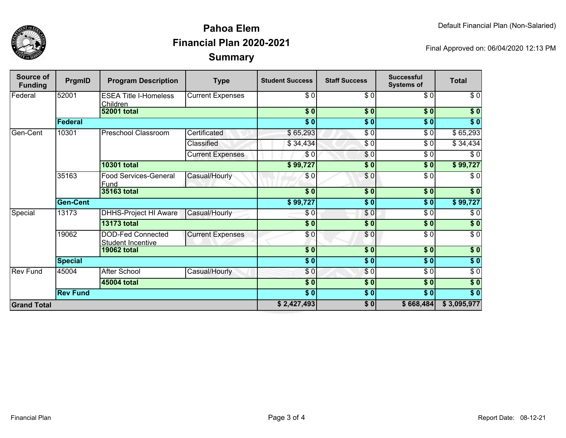



## **SummaryPahoa ElemFinancial Plan 2020-2021**

Final Approved on: 06/04/2020 12:13 PM

| Source of<br><b>Funding</b> | PrgmID          | <b>Program Description</b>               | <b>Type</b>             | <b>Student Success</b> | <b>Staff Success</b> | <b>Successful</b><br><b>Systems of</b> | <b>Total</b>     |
|-----------------------------|-----------------|------------------------------------------|-------------------------|------------------------|----------------------|----------------------------------------|------------------|
| Federal                     | 52001           | <b>ESEA Title I-Homeless</b><br>Children | <b>Current Expenses</b> | \$0                    | \$0                  | \$0                                    | $\sqrt{6}$       |
|                             |                 | <b>52001 total</b>                       |                         | \$0]                   | \$0                  | \$0                                    | \$0              |
|                             | Federal         |                                          |                         | $s$ <sub>0</sub>       | \$0                  | s <sub>0</sub>                         | $\overline{\$0}$ |
| Gen-Cent                    | 10301           | Preschool Classroom                      | Certificated            | \$65,293               | $\sqrt{6}$           | $\overline{\$0}$                       | \$65,293         |
|                             |                 |                                          | Classified              | \$34,434               | \$0                  | \$0                                    | \$34,434         |
|                             |                 |                                          | <b>Current Expenses</b> | \$0                    | \$0                  | $\overline{\$0}$                       | $\overline{\$0}$ |
|                             |                 | <b>10301 total</b>                       |                         | \$99,727               | \$0                  | s <sub>0</sub>                         | \$99,727         |
|                             | 35163           | <b>Food Services-General</b><br>Fund     | Casual/Hourly           | \$0                    | \$0                  | \$0                                    | \$0              |
|                             |                 | 35163 total                              |                         | \$0                    | $\overline{\bullet}$ | $\sqrt{6}$                             | \$0              |
|                             | <b>Gen-Cent</b> |                                          |                         | \$99,727               | $\frac{1}{6}$        | $\sqrt{6}$                             | \$99,727         |
| Special                     | 13173           | DHHS-Project HI Aware                    | Casual/Hourly           | \$0                    | \$0                  | $\sqrt{6}$                             | $\sqrt{6}$       |
|                             |                 | <b>13173 total</b>                       |                         | $\frac{1}{2}$          | $\overline{\bullet}$ | $\sqrt{6}$                             | \$0              |
|                             | 19062           | DOD-Fed Connected<br>Student Incentive   | <b>Current Expenses</b> | \$0                    | \$0                  | $\sqrt{6}$                             | $\sqrt{6}$       |
|                             |                 | <b>19062 total</b>                       |                         | $\overline{\$0}$       | $\overline{\$0}$     | $\overline{\$0}$                       | $\overline{\$0}$ |
|                             | <b>Special</b>  |                                          |                         | $\overline{\$0}$       | $\sqrt{6}$           | $\overline{\$0}$                       | $\sqrt{6}$       |
| <b>Rev Fund</b>             | 45004           | <b>After School</b>                      | Casual/Hourly           | \$0                    | $\overline{\$0}$     | $\sqrt{6}$                             | $\sqrt{6}$       |
|                             |                 | 45004 total                              |                         | $\overline{\$0}$       | $\overline{\$0}$     | $\overline{\$0}$                       | $\overline{\$0}$ |
|                             | <b>Rev Fund</b> |                                          |                         | \$0                    | $\overline{\$0}$     | $\sqrt{6}$                             | $\overline{\$0}$ |
| <b>Grand Total</b>          |                 |                                          |                         | \$2,427,493            | \$0                  | \$668,484                              | \$3,095,977      |